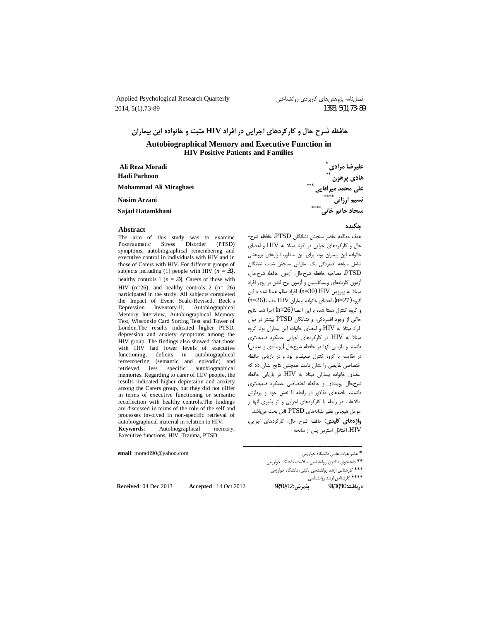Applied Psychological Research Quarterly 2014, 5(1), 73-89

فصلنامه پژوهشهای کاربردی روانشناختی 1393, 5(1), 73-89

حافظه شرح حال و کارکردهای اجرایی در افراد HIV مثبت و خانواده این بیماران

**Autobiographical Memory and Executive Function in HIV Positive Patients and Families** 

| Ali Reza Moradi        | علیرضا مرادی                |
|------------------------|-----------------------------|
| Hadi Parhoon           | $***$<br>ھادى پرھون         |
| Mohammad Ali Miraghaei | $***$<br>على محمد ميرأقايي  |
| Nasim Arzani           | ****<br>نسیم ارزان <i>ی</i> |
| Sajad Hatamkhani       | ****<br>سجاد حاتم خانی      |
|                        |                             |

#### Abstract

The aim of this study was to examine Posttraumatic Stress Disorder (PTSD) symptoms, autobiographical remembering and executive control in individuals with HIV and in those of Carers with HIV. For different groups of subjects including (1) people with HIV ( $n = 30$ ), healthy controls 1 ( $n = 27$ ), Carers of those with HIV ( $n=26$ ), and healthy controls 2 ( $n=26$ ) participated in the study. All subjects completed the Impact of Event Scale-Revised, Beck's Depression Inventory-II, Autobiographical Memory Interview, Autobiographical Memory Test, Wisconsin Card Sorting Test and Tower of London.The results indicated higher PTSD, depression and anxiety symptoms among the HIV group. The findings also showed that those with HIV had lower levels of executive functioning, deficits in autobiographical remembering (semantic and episodic) and specific autobiographical less retrieved memories. Regarding to carer of HIV people, the results indicated higher depression and anxiety among the Carers group, but they did not differ in terms of executive functioning or semantic recollection with healthy controls. The findings are discussed in terms of the role of the self and processes involved in non-specific retrieval of autobiographical material in relation to HIV. Kevwords: Autobiographical memory. Executive functions, HIV, Trauma, PTSD

email: moradi90@yahoo.com

\* عضو هیات علمی دانشگاه خوارزمی

\*\* دانشجوی دکتری روانشناسی سلامت، دانشگاه خوارزمی

\*\*\* كارشناس ارشد روانشناسي باليني، دانشگاه خوارزمي

\*\*\*\* كارشناس ارشد روانشناسى

Accepted: 14 Oct 2012

حكىدە

هدف مطالعه حاضر سنجش نشانگان PTSD، حافظه شرح-حال و كاركردهاى اجرايى در افراد مبتلا به HIV و اعضاى خانواده این بیماران بود. برای این منظور، ابزارهای پژوهشی شامل سیاهه افسردگی بک، مقیاس سنجش شدت نشانگان PTSD، مصاحبه حافظه شرححال، أزمون حافظه شرححال، آزمون كارتهاى ويسكانسين و آزمون برج لندن بر روى افراد مبتلا به ويروس HIV (n=30)، افراد سالم همتا شده با اين گروه (n=27)، اعضای خانواده بیماران HIV مثبت (n=26) و گروه كنترل همتا شده با اين اعضا (n=26) اجرا شد. نتايج حاکی از وجود افسردگی، و نشانگان PTSD بیشتر در میان افراد مبتلا به HIV و اعضاى خانواده اين بيماران بود. گروه مبتلا به HIV در کارکردهای اجرایی عملکرد ضعیفتری داشتند و بازیابی أنها در حافظه شرححال (رویدادی و معنایی) در مقایسه با گروه کنترل ضعیفتر بود و در بازیابی حافظه اختصاصی نقایصی را نشان دادند. همچنین نتایج نشان داد که اعضای خانواده بیماران مبتلا به HIV در بازیابی حافظه شرح حال رويدادى وحافظه اختصاصى عملكرد ضعيفترى داشتند. یافتههای مذکور در رابطه با نقش خود و پردازش اطلاعات در رابطه با کارکردهای اجرایی و اثر پذیری آنها از عوامل هيجاني نظير نشانههاي PTSD قابل بحث مي باشد.

واژههای کلیدی: حافظه شرح حال، کارکردهای اجرایی، HIV، اختلال استرس پس از سانحه

Received: 04 Dec 2013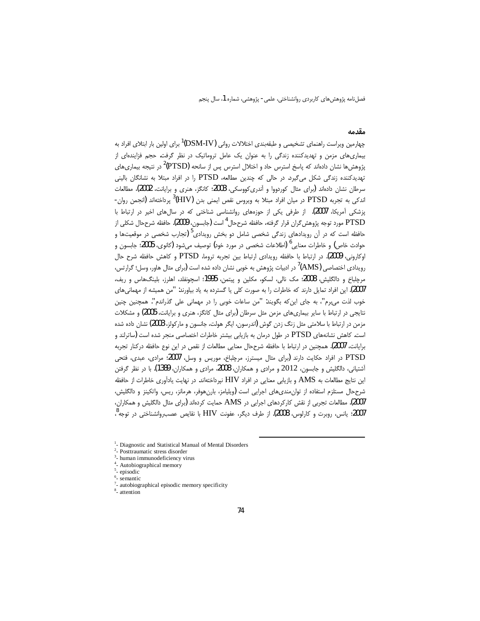#### مقدمه

چهارمین ویراست راهنمای تشخیصی و طبقهبندی اختلالات روانی (DSM-IV<sup>)1</sup> برای اولین بار ابتلای افراد به بیماریهای مزمن و تهدیدکننده زندگی را به عنوان یک عامل تروماتیک در نظر گرفت. حجم فزایندهای از پژوهش@ا نشان دادهاند که پاسخ استرس حاد و اختلال استرس پس از سانحه (PTSD<sup>)2</sup> در نتیجه بیماریهای .<br>تهدیدکننده زندگی شکل می گیرد. در حالی که چندین مطالعه، PTSD را در افراد مبتلا به نشانگان بالینی سرطان نشان دادهاند (برای مثال کوردووا و آندریکووسکی، 2003؛ کانگز، هنری و برایانت، 2002)، مطالعات اندکی به تجربه PTSD در میان افراد مبتلا به ویروس نقص ایمنی بدن  $^3$ (HIV) پرداختهاند (انجمن روان-پزشکی آمریکا، 2007). از طرفی یکی از حوزههای روانشناسی شناختی که در سالهای اخیر در ارتباط با PTSD مورد توجه پژوهش *گ*ران قرار گرفته، حافظه شرححال<sup>4</sup> است (جابسون، 2009). حافظه شرححال شكلي از حافظه است که در آن رویدادهای زندگی شخصی شامل دو بخش رویدادی<sup>5</sup> (تجارب شخصی در موقعیتها و حوادث خاص) و خاطرات معنایی<sup>6</sup> (اطلاعات شخصی در مورد خود) توصیف میشود (کانوی، 2005؛ جابسون و اوكاروني، 2009). در ارتباط با حافظه رويدادي ارتباط بين تجربه تروما، PTSD و كاهش حافظه شرح حال رویدادی اختصاصی (AMS)<sup>7</sup> در ادبیات پژوهش به خوبی نشان داده شده است (برای مثال هاور، وسل؛ گرارتس، مرچلباخ و دالگلیش، 2008؛ مک نالی، لسکو، مکلین و پیتمن، 1995؛ اسچونفلد، اهلرز، بلینگ&اس و ریف، .<br>2007). این افراد تمایل دارند که خاطرات را به صورت کلی یا گسترده به یاد بیاورند: "من همیشه از مهمانی های خوب لذت می برم"، به جای این که بگویند: "من ساعات خوبی را در مهمانی علی گذراندم". همچنین چنین نتایجی در ارتباط با سایر بیماری های مزمن مثل سرطان (برای مثال کانگز، هنری و برایانت، 2005) و مشکلات مزمن در ارتباط با سلامتی مثل زنگ زدن گوش (اندرسون، ایگر هولت، جانسون و مارکولز، 2003) نشان داده شده است. کاهش نشانههای PTSD در طول درمان به بازیابی بیشتر خاطرات اختصاصی منجر شده است (ساترلند و برايانت، 2007). همچنين در ارتباط با حافظه شرححال معنايي مطالعات از نقص در اين نوع حافظه دركنار تجربه PTSD در افراد حکایت دارند (برای مثال میسترز، مرچلباخ، موریس و وسل، 2007؛ مرادی، عبدی، فتحی آشتیانی، دالگلیش و جابسون، 2012 و مرادی و همکاران، 2008، مرادی و همکاران، 1389). با در نظر گرفتن این نتایج مطالعات به AMS و بازیابی معنایی در افراد HIV نیرداختهاند. در نهایت یادآوری خاطرات از حافظه شرححال مستلزم استفاده از توان مندىهاى اجرايى است (ويليامز، بارن هوفر، هرمانز، ريس، واتكينز و دالگليش، 2007). مطالعات تجربی از نقش کارکردهای اجرایی در AMS حمایت کردهاند (برای مثال دالگلیش و همکاران، 2007؛ يانس، روبرت و كارلوس، 2008). از طرف ديگر، عفونت HIV با نقايص عصب(وانشناختى در توجه <sup>8</sup>،

<sup>&</sup>lt;sup>1</sup>- Diagnostic and Statistical Manual of Mental Disorders

<sup>&</sup>lt;sup>2</sup>- Posttraumatic stress disorder

<sup>&</sup>lt;sup>3</sup>- human immunodeficiency virus

<sup>&</sup>lt;sup>4</sup>- Autobiographical memory

 $5$ - episodic

 $6$ - semantic

 $7$ - autobiographical episodic memory specificity

 $<sup>8</sup>$ - attention</sup>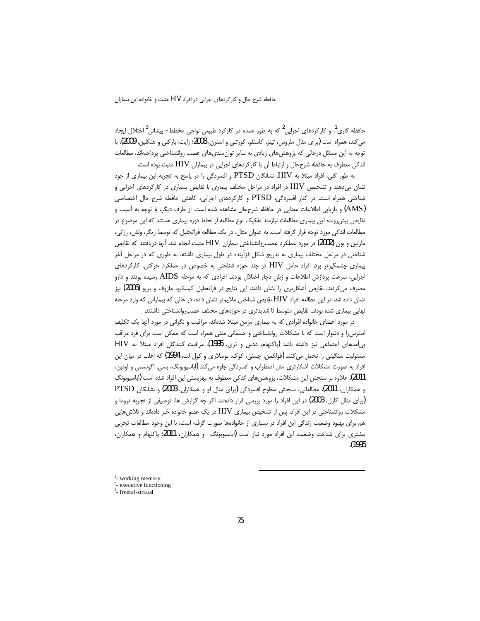حافظه شرح حال و کارکردهای اجرایی در افراد HIV مثبت و خانواده این بیماران

۔<br>حافظه کاری ، و کارکردهای اجرایی <sup>2</sup> که به طور عمده در کارکرد طبیعی نواحی مخطط- پیشانی <sup>3</sup> اختلال ایجاد می کند، همراه است (برای مثال ملروس، تینز، کاستلو، کورتنی و استرن، 2008؛ رایت، بارکلی و هنکلین، 2009). با توجه به این مسائل درحالی که پژوهشهای زیادی به سایر توان،ندیهای عصب روانشناختی پرداختهاند، مطالعات اندکی معطوف به حافظه شرححال و ارتباط آن با کارکردهای اجرایی در بیماران HIV مثبت بوده است.

به طور کلی، افراد مبتلا به HIV، نشانگان PTSD و افسردگی را در پاسخ به تجربه این بیماری از خود نشان میدهند و تشخیص HIV در افراد در مراحل مختلف بیماری با نقایص بسیاری در کارکردهای اجرایی و شناختی همراه است. در کنار افسردگی، PTSD و کارکردهای اجرایی، کاهش حافظه شرح حال اختصاصی (AMS) و بازیابی اطلاعات معنایی در حافظه شرححال مشاهده شده است. از طرف دیگر، با توجه به آسیب و نقايص پيش٫رونده اين بيماري مطالعات نيازمند تفكيک نوع مطالعه از لحاظ دوره بيماري هستند كه اين موضوع در مطالعات اندکی مورد توجه قرار گرفته است. به عنوان مثال، در یک مطالعه فراتحلیل که توسط ریگر، ولش، رزانی، مارتین و بون (2002) در مورد عملکرد عصب,وانشناختی بیماران HIV مثبت انجام شد، آنها دریافتند که نقایص شناختی در مراحل مختلف بیماری به تدریج شکل فزآینده در طول بیماری داشته، به طوری که در مراحل آخر بیماری چشمگیرتر بود. افراد حامل HIV در چند حوزه شناختی به خصوص در عملکرد حرکتی، کارکردهای اجرایی، سرعت پردازش اطلاعات و زبان دچار اختلال بودند. افرادی که به مرحله AIDS رسیده بودند و دارو مصرف می کردند، نقایص آشکارتری را نشان دادند. این نتایج در فراتحلیل کیسکیو، ماروف و بریو (2006) نیز نشان داده شد. در این مطالعه افراد HIV نقایص شناختی ملایمتر نشان داده، در حالی که بیمارانی که وارد مرحله نهایی بیماری شده بودند، نقایص متوسط تا شدیدتری در حوزههای مختلف عصب روانشناختی داشتند.

در مورد اعضای خانواده افرادی که به بیماری مزمن مبتلا شدهاند، مراقبت و نگرانی در مورد آنها یک تکلیف استرسiا و دشوار است که با مشکلات روانشناختی و جسمانی منفی همراه است که ممکن است برای فرد مراقب پی آمدهای اجتماعی نیز داشته باشد (پاکنهام، ددس و تری، 1995). مراقبت کنندگان افراد مبتلا به HIV مسئولیت سنگینی را تحمل میکنند (فولکمن، چسنی، کوک، بوسلاری و کول لت، 1994) که اغلب در میان این افراد به صورت مشکلات آشکارتری مثل اضطراب و افسردگی جلوه میکند (اباسیوبونگ، بسی، اگونسمی و اودبن، 2011). علاوه بر سنجش این مشکلات، پژوهشهای اندکی معطوف به بهزیستی این افراد شده است (اباسیوبونگ و همکاران، 2011). مطالعاتي، سنجش سطوح افسردگي (براي مثال لو و همکاران، 2003) و نشانگان PTSD (برای مثال کارل، 2003) در این افراد را مورد بررسی قرار دادهاند. اگر چه گزارش ها، توصیفی از تجربه تروما و مشکلات روانشناختی در این افراد، پس از تشخیص بیماری HIV در یک عضو خانواده خبر دادهاند و تلاش هایی هم برای بهبود وضعیت زندگی این افراد در بسیاری از خانوادهها صورت گرفته است، با این وجود مطالعات تجربی بیشتری برای شتاخت وضعیت این افراد مورد نیاز است (اباسیوبونگ و همکاران، 2011؛ پاکنهام و همکاران، .(1995)

 $1$ - working memory

 $2$ - executive functioning

 $3$ - frontal-striatal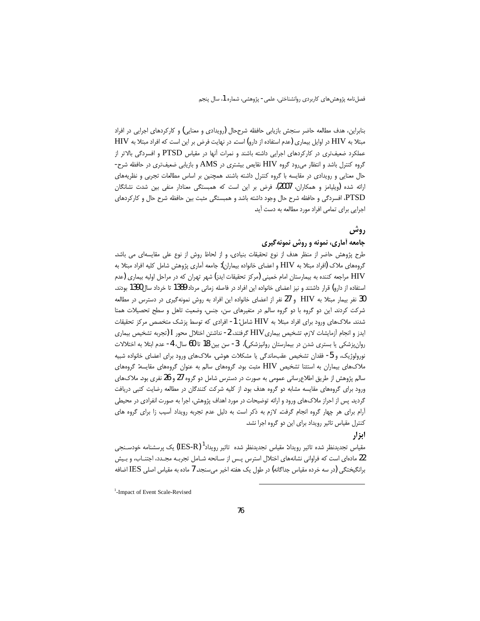بنابراین، هدف مطالعه حاضر سنجش بازیابی حافظه شرححال (رویدادی و معنایی) و کارکردهای اجرایی در افراد مبتلا به HIV در اوایل بیماری (عدم استفاده از دارو) است. در نهایت فرض بر این است که افراد مبتلا به HIV عملکرد ضعیفتری در کارکردهای اجرایی داشته باشند و نمرات آنها در مقیاس PTSD و افسردگی بالاتر از گروه کنترل باشد و انتظار می رود گروه HIV نقایص بیشتری در AMS و بازیابی ضعیفتری در حافظه شرح-حال معنایی و رویدادی در مقایسه با گروه کنترل داشته باشند. همچنین بر اساس مطالعات تجربی و نظریههای ارائه شده (ویلیامز و همکاران، 2007)، فرض بر این است که همبستگی معنادار منفی بین شدت نشانگان PTSD، افسردگی و حافظه شرح حال وجود داشته باشد و همبستگی مثبت بین حافظه شرح حال و کارکردهای اجرایی برای تمامی افراد مورد مطالعه به دست آید.

### روش

## جامعه آماري، نمونه و روش نمونه گيري

طرح پژوهش حاضر از منظر هدف از نوع تحقیقات بنیادی، و از لحاظ روش از نوع علی مقایسهای می باشد. گروههای ملاک (افراد مبتلا به HIV و اعضای خانواده بیماران): جامعه آماری پژوهش شامل کلیه افراد مبتلا به HIV مراجعه کننده به بیمارستان امام خمینی (مرکز تحقیقات ایدز) شهر تهران که در مراحل اولیه بیماری (عدم استفاده از دارو) قرار داشتند و نیز اعضای خانواده این افراد در فاصله زمانی مرداد 1389 تا خرداد سال1390 بودند. 30 نفر بیمار مبتلا به HIV و 27 نفر از اعضای خانواده این افراد به روش نمونهگیری در دسترس در مطالعه شرکت کردند. این دو گروه با دو گروه سالم در متغیرهای سن، جنس، وضعیت تاهل و سطح تحصیلات همتا شدند. ملاکھای ورود برای افراد مبتلا به HIV شامل: 1- افرادی که توسط پزشک متخصص مرکز تحقیقات ايدز و انجام آزمايشات لازم، تشخيص بيماريHIV گرفتند، 2- نداشتن اختلال محور I (تجربه تشخيص بيماري روانپزشکی یا بستری شدن در بیمارستان روانپزشکی)، 3- سن بین 18 تا 60 سال، 4- عدم ابتلا به اختلالات نورولوژیک، و 5- فقدان تشخیص عقب،اندگی یا مشکلات هوشی. ملاک،ای ورود برای اعضای خانواده شبیه ملاکهای بیماران به استثنا تشخیص HIV مثبت بود. گروههای سالم به عنوان گروههای مقایسه: گروههای سالم پژوهش از طریق اطلاع٫رسانی عمومی به صورت در دسترس شامل دو گروه 27 و 26 نفری بود. ملاکهای ورود برای گروههای مقایسه مشابه دو گروه هدف بود. از کلیه شرکت کنندگان در مطالعه رضایت کتبی دریافت گردید. پس از احراز ملاکهای ورود و ارائه توضیحات در مورد اهداف پژوهش، اجرا به صورت انفرادی در محیطی آرام برای هر چهار گروه انجام گرفت. لازم به ذکر است به دلیل عدم تجربه رویداد آسیب زا برای گروه های کنترل مقیاس تاثیر رویداد برای این دو گروه اجرا نشد.

# ابزار

مقیاس تجدیدنظر شده تاثیر رویداد: مقیاس تجدیدنظر شده تاثیر رویداد<sup>ا</sup> (IES-R) یک پرسشنامه خودســنجی 22 مادهای است که فراوانی نشانههای اختلال استرس پـس از سـانحه شـامل تجربـه مجـدد، اجتنـاب، و بـیش برانگیختگی (در سه خرده مقیاس جداگانه) در طول یک هفته اخیر میسنجد. 7 ماده به مقیاس اصلی IES اضافه

<sup>1</sup>-Impact of Event Scale-Revised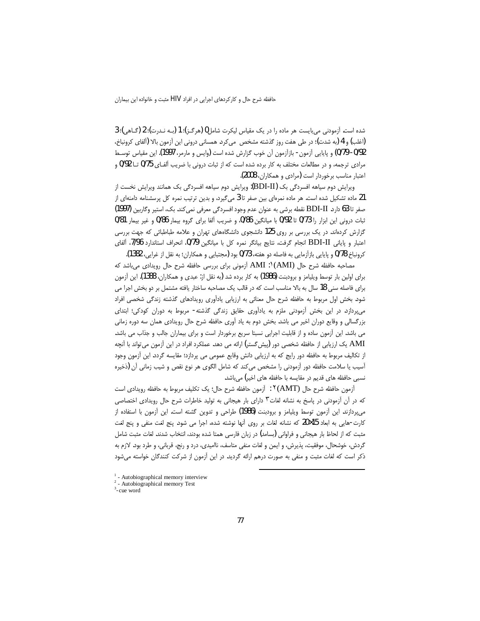شده است. آزمودنی می باست هر ماده را در یک مقیاس لیکرت شامل 0 (هرگ)؛ 1 (بـه نـدرت)؛ 2 (گـاهی)؛ 3 (اغلب) و 4 (به شدت)؛ در طی هفت روز گذشته مشخص می¢دد. همسانی درونی این آزمون بالا (آلفای کرونباخ، 0/92- 0/79) و پایایی آزمون- بازآزمون آن خوب گزارش شده است (وایس و مارمر، 1997). این مقیاس توسط مرادي ترجمه، و در مطالعات مختلف به كار برده شده است كه از ثبات دروني با ضريب آلفـاي 0/75 تــا 0/92 و اعتبار مناسب برخوردار است (مرادی و همکاران، 2008).

ویرایش دوم سیاهه افسردگی بک (BDI-II): ویرایش دوم سیاهه افسردگی بک همانند ویرایش نخست از 21 ماده تشکیل شده است. هر ماده نمرهای بین صفر تا 3 میگیرد، و بدین ترتیب نمره کل پرسشنامه دامنهای از صفر تا 63 دارد. BDI-II نقطه برشي به عنوان عدم وجود افسردگي معرفي نمي كند. بك، استير وكاربين (1997)  $0/81$  ثبات درونی این ابزار را 0/73 تا 0/92 با میانگین 0/86، و ضریب آلفا برای گروه بیمار  $0/8$  و غیر بیمار گزارش کردهاند. در یک بررسی بر روی 125 دانشجوی دانشگاههای تهران و علامه طباطبائی که جهت بررسی اعتبار و پایانی BDI-II انجام گرفت، نتایج بیانگر نمره کل با میانگین 0/79، انحراف استاندارد 7/96، ألفای كرونباخ 0/78 و پايايي بازآزمايي به فاصله دو هفته، 0/73 بود (مجتبايي و همكاران؛ به نقل از غرايي، 1382).

مصاحبه حافظه شرح حال  $|\rm AMI~$ ۱' AMI) آزمونی برای بررسی حافظه شرح حال رویدادی میباشد که برای اولین بار توسط ویلیامز و برودبنت (1986) به کار برده شد (به نقل از: عبدی و همکاران، 1388). این آزمون برای فاصله سنی 18 سال به بالا مناسب است که در قالب یک مصاحبه ساختار یافته مشتمل بر دو بخش اجرا می شود. بخش اول مربوط به حافظه شرح حال معنائی به ارزیابی یادآوری رویدادهای گذشته زندگی شخصی افراد میپردازد. در این بخش آزمودنی ملزم به یادآوری حقایق زندگی گذشته- مربوط به دوران کودکی؛ ابتدای بزرگسالی و وقایع دوران اخیر می باشد. بخش دوم به یاد آوری حافظه شرح حال رویدادی همان سه دوره زمانی می باشد. این أزمون ساده و از قابلیت اجرایی نسبتا سریع برخوردار است و برای بیماران جالب و جذاب می باشد. AMI یک ارزیابی از حافظه شخصی دور (پیش گستر) ارائه می دهد. عملکرد افراد در این آزمون می تواند با آنچه از تكاليف مربوط به حافظه دور رايج كه به ارزيابي دانش وقايع عمومي مي پردازد؛ مقايسه گردد. اين آزمون وجود آسیب یا سلامت حافظه دور آزمودنی را مشخص میکند که شامل الگوی هر نوع نقص و شیب زمانی آن (ذخیره نسبی حافظه های قدیم در مقایسه با حافظه های اخیر) میباشد.

اً ومون حافظه شرح حال (AMT)؟ : أزمون حافظه شرح حال؛ يک تكليف مربوط به حافظه رويدادي است که در آن آزمودنی در پاسخ به نشانه لغات<sup>۳</sup> دارای بار هیجانی به تولید خاطرات شرح حال رویدادی اختصاصی میپردازند. این آزمون توسط ویلیامز و برودبنت **(1986)** طراحی و تدوین گشته است. این آزمون با استفاده از كارت-هايي به ابعاد 15×20 كه نشانه لغات بر روى آنها نوشته شده، اجرا مي شود. پنج لغت منفي و پنج لغت مثبت كه از لحاظ بار هيجاني و فراواني (بسامد) در زبان فارسي همتا شده بودند، انتخاب شدند. لغات مثبت شامل گردش، خوشحال، موفقیت، پذیرش، و ایمن و لغات منفی متاسف، ناامیدی، درد و رنج، قربانی، و طرد بود. لازم به ذكر است كه لغات مثبت و منفى به صورت درهم ارائه گرديد. در اين آزمون از شركت كنندگان خواسته مىشود

l

<sup>&</sup>lt;sup>1</sup> - Autobiographical memory interview

<sup>2</sup> - Autobiographical memory Test

<sup>3</sup> -cue word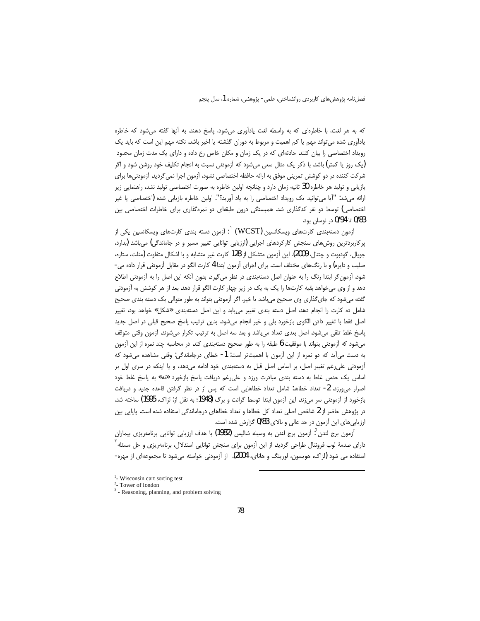که به هر لغت، با خاطرهای که به واسطه لغت یادآوری میشود، پاسخ دهند. به آنها گفته میشود که خاطره یادآوری شده می تواند مهم یا کم اهمیت و مربوط به دوران گذشته یا اخیر باشد. نکته مهم این است که باید یک رویداد اختصاصی را بیان کنند. حادثهای که در یک زمان و مکان خاص رخ داده و دارای یک مدت زمان محدود (یک روز یا کمتر) باشد. با ذکر یک مثال سعی میشود که آزمودنی نسبت به انجام تکلیف خود روشن شود و اگر شرکت کننده در دو کوشش تمرینی موفق به ارائه حافظه اختصاصی نشود، آزمون اجرا نمی گردید. آزمودنی ها برای بازیابی و تولید هر خاطره 30 ثانیه زمان دارد و چنانچه اولین خاطره به صورت اختصاصی تولید نشد، راهنمایی زیر ارائه میشد: "آیا میتوانید یک رویداد اختصاصی را به یاد آورید؟". اولین خاطره بازیابی شده (اختصاصی یا غیر اختصاصی) توسط دو نفر کدگذاری شد. همبستگی درون طبقهای دو نمرهگذاری برای خاطرات اختصاصی بین 0/83 تا 0/94 در نوسان بود.

آزمون دستهبندی کارتهای ویسکانسین (WCST)  $^{\rm !}$  آزمون دسته بندی کارتهای ویسکانسین یکی از  $^{\rm !}$ پرکاربردترین روشهای سنجش کارکردهای اجرایی (ارزیابی توانایی تغییر مسیر و در جاماندگی) میباشد (بدارد، جويال، گودبوت و چنتال، 2009). اين آزمون متشكل از 128 كارت غير متشابه و با اشكال متفاوت (مثلث، ستاره، صلیب و دایره) و با رنگ@ای مختلف است. برای اجرای آزمون ابتدا 4 کارت الگو در مقابل آزمودنی قرار داده می-شود. آزمون گر ابتدا رنگ را به عنوان اصل دستهبندی در نظر می گیرد. بدون آنکه این اصل را به آزمودنی اطلاع دهد و از وی می خواهد بقیه کارتها را یک به یک در زیر چهار کارت الگو قرار دهد. بعد از هر کوشش به آزمودنی گفته میشود که جای گذاری وی صحیح می باشد یا خیر. اگر آزمودنی بتواند به طور متوالی یک دسته بندی صحیح شامل ده كارت را انجام دهد، اصل دسته بندى تغيير مى يابد و اين اصل دستهبندى «شكل» خواهد بود، تغيير اصل فقط با تغییر دادن الگوی بازخورد بلی و خیر انجام میشود. بدین ترتیب پاسخ صحیح قبلی در اصل جدید ياسخ غلط تلقى مى شود. اصل بعدى تعداد مى باشد و بعد سه اصل به ترتيب تكرار مى شوند. آزمون وقتى متوقف میشود که آزمودنی بتواند با موفقیت 6 طبقه را به طور صحیح دستهبندی کند. در محاسبه چند نمره از این آزمون به دست می آید که دو نمره از این آزمون با اهمیتتر است: 1- خطای درجاماندگی: وقتی مشاهده میشود که آزمودنی علی رغم تغییر اصل، بر اساس اصل قبل به دستهبندی خود ادامه میدهد، و یا اینکه در سری اول بر اساس یک حدس غلط به دسته بندی مبادرت ورزد و علی رغم دریافت پاسخ بازخورد «نه» به پاسخ غلط خود اصرار می ورزد. 2- تعداد خطاها: شامل تعداد خطاهایی است که پس از در نظر گرفتن قاعده جدید و دریافت بازخورد از أزمودنی سر می;ند. این أزمون ابتدا توسط گرانت و برگ (1948؛ به نقل از: لزاک، 1995) ساخته شد. در پژوهش حاضر از 2 شاخص اصلی تعداد کل خطاها و تعداد خطاهای درجاماندگی استفاده شده است. پایایی بین ارزیابیهای این آزمون در حد عالی و بالای 0/83 گزارش شده است.

آزمون برج لندن <sup>۲</sup>: آزمون برج لندن به وسیله شالیس (1982) با هدف ارزیابی توانایی برنامهریزی بیماران دارای صدمهٔ لوب فرونتال طراحی گردید. از این آزمون برای سنجش توانایی استدلال، برنامهریزی و حل مسئله <sup>'</sup> استفاده می شود (لزاک، هویسون، لورینگ و هانای، 2004). از آزمودنی خواسته میشود تا مجموعهای از مهره-

<sup>&</sup>lt;sup>1</sup>- Wisconsin cart sorting test

 $2$ - Tower of london

<sup>&</sup>lt;sup>3</sup> - Reasoning, planning, and problem solving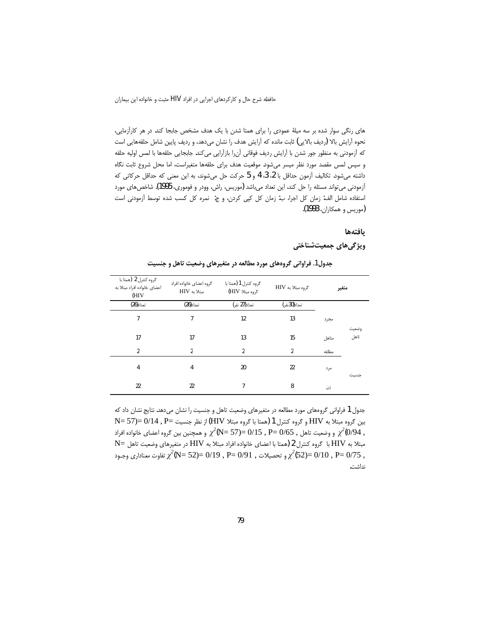حافظه شرح حال و كاركردهاي اجرايي در افراد HIV مثبت و خانواده اين بيماران

های رنگی سوار شده بر سه میلهٔ عمودی را برای همتا شدن با یک هدف مشخص جابجا کند. در هر کارآزمایی، نحوه آرايش بالا (رديف بالايي) ثابت مانده كه آرايش هدف را نشان مىدهد، و رديف پايين شامل حلقههايي است كه آزمودني به منظور جور شدن با آرايش رديف فوقاني آنرا بازآرايي ميكند. جابجايي حلقهها با لمس اوليه حلقه و سپس لمس مقصد مورد نظر میسر میشود. موقعیت هدف برای حلقهها متغیراست، اما محل شروع ثابت نگاه داشته میشود. تکالیف آزمون حداقل با 2، 3، 4 و 5 حرکت حل میشوند، به این معنی که حداقل حرکاتی که آزمودنی می تواند مسئله را حل کند، این تعداد می باشد (موریس، راش، وودر و فوموری، 1995). شاخص های مورد استفاده شامل الف: زمان كل اجرا، ب: زمان كل كپي كردن، و ج: نمره كل كسب شده توسط آزمودنى است (موريس و هم*ك*اران**، 1993).** 

### **بافتهها**

**ویژگیهای جمعیتشناختی** 

| گروه کنترل 2 (همتا با<br>اعضای خانواده افراد مبتلا به<br>(HIV | گروه اعضای خانواده افراد<br>مبتلابه HIV | گروه کنترل 1 (همتا با<br>گروه مبتلا به HIV<br>گروه مبتلا HIV) |                |       | متغير         |
|---------------------------------------------------------------|-----------------------------------------|---------------------------------------------------------------|----------------|-------|---------------|
| تعداد(26)                                                     | تعداد(26)                               | تعداد(27 نفر)                                                 | تعداد(30نفر)   |       |               |
| $\overline{7}$                                                | 7                                       | 12                                                            | 13             | مجرد  |               |
| 17                                                            | 17                                      | 13                                                            | 15             | متاهل | وضعيت<br>تاهل |
| $\overline{2}$                                                | $\overline{2}$                          | 2                                                             | $\overline{2}$ | مطلقه |               |
| 4                                                             | 4                                       | 20                                                            | 22             | مرد   | جنسيت         |
| 22                                                            | 22                                      | 7                                                             | 8              | زن    |               |

جدول1. فراوانی گروههای مورد مطالعه در متغیرهای وضعیت تاهل و جنسیت

جدول 1 فراوانی گروههای مورد مطالعه در متغیرهای وضعیت تاهل و جنسیت را نشان میدهد. نتایج نشان داد که  $N= 57$ ) $= 0/14$  , P $=$   $\frac{1}{\lambda}$ يين گروه مبتلا  $H$ ) و  $H$ (همتا با گروه مبتلا HIV) از نظر جنسيت و وضعيت تاهل , 2 $\chi^2$ (N= 57)= 0/15 , P= 0/65 , وخمعيت تاهل , 2 $\chi^2$ (0/94 ,  $N= 5$ مبتلا به HIV با گروه کنترل 2 (همتا با اعضای خانواده افراد مبتلا به HIV در متغیرهای وضعیت تاهل , 25/0 = 0/10 = 252/2<sub>/2</sub> تحصيلات , P= 0/91 , P= 0/19 = 252⁄2 تفاوت معناداری وجـود , 2 نداشت.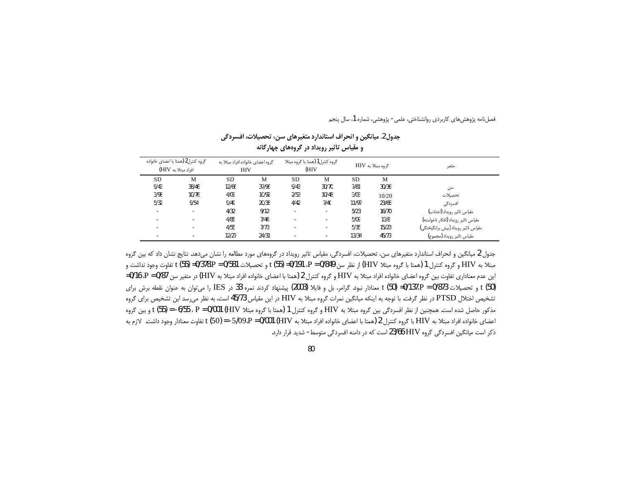| و مقیاس تاثیر رویداد در گروههای چهارگانه |                                                           |                                                 |       |                                         |       |                   |       |                                     |  |  |
|------------------------------------------|-----------------------------------------------------------|-------------------------------------------------|-------|-----------------------------------------|-------|-------------------|-------|-------------------------------------|--|--|
|                                          | گروه كنترل2 (همتا با اعضاي خانواده<br>افراد مبتلا به HIV) | گروه اعضای خانواده افراد مبتلا به<br><b>HIV</b> |       | گروه کنترل1 (همتا با گروه مبتلا<br>(HIV |       | گروه مبتلا به HIV | متغير |                                     |  |  |
| SD                                       | M                                                         | <b>SD</b>                                       | M     | <b>SD</b>                               | M     | <b>SD</b>         | M     |                                     |  |  |
| 9/43                                     | 38/46                                                     | 12/66                                           | 37/96 | 9/43                                    | 30/70 | 7/81              | 30/36 | سن                                  |  |  |
| 3/98                                     | 10/76                                                     | 4/09                                            | 10/92 | 2/53                                    | 10/48 | 3/03              | 10/20 | تحصلات                              |  |  |
| 5/32                                     | 9/54                                                      | 9/49                                            | 20/38 | 4/42                                    | 7/40  | 11/97             | 23/66 | افسردگی                             |  |  |
|                                          | ۰                                                         | 4/32                                            | 9/12  | $\sim$                                  | ۰     | 5/23              | 16/70 | مقياس تاثير رويداد (اجتناب)         |  |  |
|                                          | ۰                                                         | 4/85                                            | 7/46  | $\overline{\phantom{a}}$                | ٠     | 5/09              | 13/8  | مقياس تاثير رويداد (افكار ناخواسته) |  |  |
|                                          | ۰                                                         | 4/55                                            | 7/73  | $\overline{\phantom{a}}$                | ٠     | 5/35              | 15/23 | مقياس تاثير رويداد (بيش برانگيختگي) |  |  |
|                                          | ٠                                                         | 12/27                                           | 24/31 | ۰.                                      | ۰     | 13/34             | 45/73 | مقياس تاثير رويداد (مجموع)          |  |  |

جدول2. ميانگين و انحراف استاندارد متغيرهاي سن، تحصيلات، افسردگي

جدول 2 میانگین و انحراف استاندارد متغیرهای سن، تحصیلات، افسردگی، مقیاس تاثیر رویداد در گروههای مورد مطالعه را نشان میدهد. نتایج نشان داد که بین گروه مبتلا به HIV و گروه كنترل 1 (همتا با گروه مبتلا HIV) از نظر سن P = 0/849 ، P = 0/378.P = 0/378.P = 0/378.P = ( این عدم معناداری تفاوت بین گروه اعضای خانواده افراد مبتلا به HIV و گروه کنترل 2 (همتا با اعضای خانواده افراد مبتلا به HIV) در متغیر سن P = 0/87، 07-0، 16/0= t (50) و تحصیلات 0/873 = 0/137،P = 0/873 معنادار نبود. گرامر، بل و فایلا (2003) پیشنهاد کردند نمره 33 در IES را می توان به عنوان نقطه برش برای تشخیص اختلال PTSD در نظر گرفت. با توجه به اینکه میانگین نمرات گروه مبتلا به HIV در این مقیاس 45/73 است، به نظر می رسد این تشخیص برای گروه مذكور حاصل شده است. همچنين از نظر افسردگي بين گروه مبتلا به HIV و گروه كنترل 1 (همتا با گروه مبتلا HIV) HUU (FJ) و F ، 55) و بين گروه اعضای خانواده افراد مبتلا به HIV با گروه کنترل 2 (همتا با اعضای خانواده افراد مبتلا به HIV) 09،P = 0/001 (HIV) تفاوت معنادار وجود داشت. لازم به ذکر است میانگین افسردگی گروه HIV 23/66 است که در دامنه افسردگی متوسط- شدید قرار دارد.

80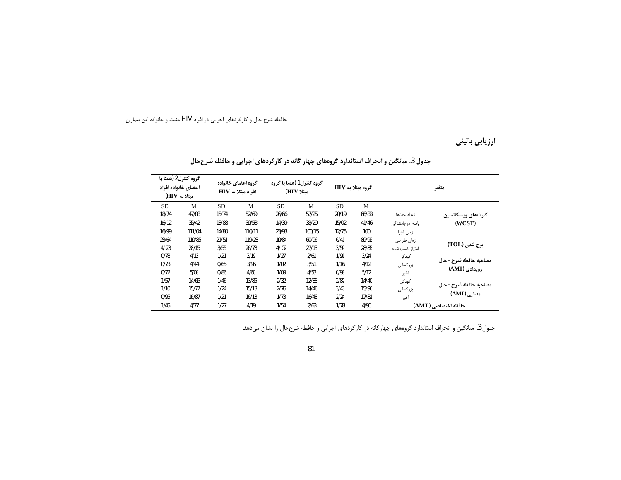حافظه شرح حال و کارکردهای اجرایی در افراد HIV مثبت و خانواده این بیماران

ارزیابی بالینی

|           | گروه کنترل2 (همتا با<br>اعضاى خانواده افراد<br>مبتلا به HIV) |           | گروه اعضای خانواده<br>افراد مبتلا به HIV |           | گروه کنترل 1 (همتا با گروه<br>مىتلا HIV) | گروه مبتلا به HIV |       |                 | متغير                  |  |
|-----------|--------------------------------------------------------------|-----------|------------------------------------------|-----------|------------------------------------------|-------------------|-------|-----------------|------------------------|--|
| <b>SD</b> | M                                                            | <b>SD</b> | M                                        | <b>SD</b> | M                                        | <b>SD</b>         | M     |                 |                        |  |
| 18/74     | 47/88                                                        | 15/74     | 52/69                                    | 26/66     | 57/25                                    | 20/19             | 66/83 | تعداد خطاها     | كارتهاى ويسكانسين      |  |
| 16/12     | 35/42                                                        | 13/88     | 39/58                                    | 14/39     | 33/29                                    | 15/02             | 41/46 | یاسخ درجاماندگی | (WCST)                 |  |
| 16/99     | 111/04                                                       | 14/80     | 110/11                                   | 23/93     | 100/15                                   | 12/75             | 100   | زمان اجرا       |                        |  |
| 23/64     | 110/85                                                       | 21/51     | 119/23                                   | 10/84     | 60/96                                    | 6/41              | 89/92 | زمان طراحي      |                        |  |
| 4/23      | 28/15                                                        | 3/55      | 26/73                                    | 4/02      | 27/13                                    | 3/59              | 28/85 | امتباز كسب شده  | برج لندن (TOL)         |  |
| 0/78      | 4/13                                                         | 1/21      | 3/19                                     | 1/27      | 2/61                                     | 1/91              | 3/24  | کودکی           |                        |  |
| 0/73      | 4/44                                                         | 0/65      | 3/96                                     | 1/02      | 3/51                                     | 1/16              | 4/12  | بزرگسالی        | مصاحبه حافظه شرح - حال |  |
| 0/72      | 5/08                                                         | 0/86      | 4/60                                     | 1/09      | 4/53                                     | 0/98              | 5/12  | اخير            | رویدادی (AMI)          |  |
| 1/57      | 14/65                                                        | 1/46      | 13/85                                    | 2/32      | 12/38                                    | 2/87              | 14/40 | کودکی           |                        |  |
| 1/10      | 15/77                                                        | 1/24      | 15/13                                    | 2/76      | 14/46                                    | 3/43              | 15/96 | بزرگسالی        | مصاحبه حافظه شرح - حال |  |
| 0/95      | 16/87                                                        | 1/21      | 16/13                                    | 1/73      | 16/48                                    | 2/24              | 17/81 | اخبر            | معنايي (AMI)           |  |
| 1/45      | 4/77                                                         | 1/27      | 4/19                                     | 1/54      | 2/63                                     | 1/78              | 4/96  |                 | حافظه اختصاصي (AMT)    |  |

جدول 3. میانگین و انحراف استاندارد گروههای چهار گانه در کارکردهای اجرایی و حافظه شرححال

جدول 3. میانگین و انحراف استاندارد گروههای چهارگانه در کارکردهای اجرایی و حافظه شرححال را نشان میدهد.

81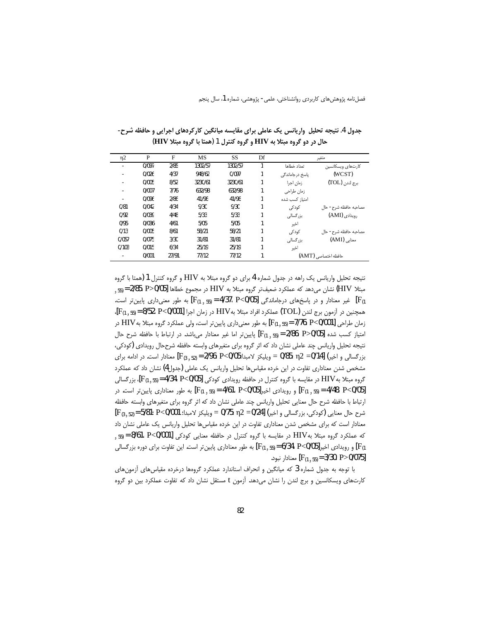| $\eta$ 2 | P     | F     | MS      | SS      | Df |                     | متغير                 |  |
|----------|-------|-------|---------|---------|----|---------------------|-----------------------|--|
|          | 0/097 | 2/85  | 1302/57 | 1302/57 |    | تعداد خطاها         | کارتهای ویسکانسین     |  |
|          | 0/026 | 4/37  | 948/62  | 0/097   | 1  | یاسخ در جاماندگی    | (WCST)                |  |
| -        | 0/005 | 8/52  | 3230/61 | 3230/61 | 1  | زمان اجرا           | برج لندن (TOL)        |  |
|          | 0/007 | 7/76  | 632/98  | 632/98  | 1  | زمان طراحی          |                       |  |
|          | 0/096 | 2/86  | 41/96   | 41/96   |    | امتياز كسب شده      |                       |  |
| 0/81     | 0/042 | 4/34  | 9/30    | 9/30    |    | کودکی               | مصاحبه حافظه شرح- حال |  |
| 0/92     | 0/039 | 4/48  | 5/33    | 5/33    | 1  | بزر گسالے ,         | , ویدادی (AMI)        |  |
| 0/95     | 0/036 | 4/61  | 5/05    | 5/05    |    | اخير                |                       |  |
| 0/13     | 0/005 | 8/61  | 58/21   | 58/21   |    | کودکی               | مصاحبه حافظه شرح- حال |  |
| 0/057    | 0/075 | 3/30  | 31/81   | 31/81   | 1  | بزر گسالی           | معنايي (AMI)          |  |
| 0/103    | 0/015 | 6/34  | 25/19   | 25/19   | 1  | اخبر                |                       |  |
|          | 0/001 | 27/91 | 77/12   | 77/12   |    | حافظه اختصاصی (AMT) |                       |  |

جدول 4. نتیجه تحلیل واریانس یک عاملی برای مقایسه میانگین کارکردهای اجرایی و حافظه شرح-حال در دو گروه مبتلا به HIV و گروه کنترل 1 (همتا با گروه مبتلا HIV)

نتيجه تحليل واريانس يک راهه در جدول شماره 4 براي دو گروه مبتلا به HIV و گروه کنترل 1 (همتا با گروه مبتلا HIV) نشان می دهد که عملکرد ضعیف تر گروه مبتلا به HIV در مجموع خطاها [9/05، P>0/05 = ر55. غیر معنادار و در پاسخهای درجاماندگی [P $_{(1\ ,\ 55)}$  = 4/37، P<0/05 ] به طور معنیداری پایینتر است. [F همچنین در آزمون برج لندن (TOL) عملکرد افراد مبتلا بهHIV در زمان اجرا [9/001/52، 8/52 = (55, 1)]، زمان طراحي [7/000]. [7/76، P<0/001] به طور معنىداري پايين تر است، ولي عملكرد گروه مبتلا به HIV در امتياز كسب شده [9/05-2/86 P) وايين تر اما غير معنادار ميباشد. در ارتباط با حافظه شرح حال [13/05] ا نتیجه تحلیل واریانس چند عاملی نشان داد که اثر گروه برای متغیرهای وابسته حافظه شرححال رویدادی (کودکی، بزرگسالی و اخیر) wis-12 =0/85: n2 =0/14] ویلیکز لامبدا؛P<0/05 = (F<sub>(3 , 52</sub> = 2/96: P<0/05 = رویلیکز لامبدا مشخص شدن معناداری تفاوت در این خرده مقیاس ها تحلیل واریانس یک عاملی (جدول4) نشان داد که عملکرد گروه مبتلا بهHIV در مقایسه با گروه کنترل در حافظه رویدادی کودکی [4/34، P<0/05 = 134، بزرگسالی [F<sub>(1, 55)</sub> = 4/34، [4/48، P<0/05] و رویدادی اخیر [9/05، 4/61، P<0/05] به طور معناداری پایین تر است. در [9/05] F(1 , 55 ارتباط با حافظه شرح حال معنايي تحليل واريانس چند عاملي نشان داد كه اثر گروه براي متغيرهاي وابسته حافظه  $[ F_{(3, 52)}$ = 5/81: P<0/001 أو = 0/75: n2 =0/24 ويليكز لامبدا: 5/81: P<0/001 = ويليكز لامبدا معنادار است که برای مشخص شدن معناداری تفاوت در این خرده مقیاس ها تحلیل واریانس یک عاملی نشان داد که عملکرد گروه مبتلا بهHIV در مقایسه با گروه کنترل در حافظه معنایی کودکی 8/61، P<0/001] = 55 , و رویدادی اخیر [9/05-6/34، P [71] به طور معناداری پایین تر است. این تفاوت برای دوره بزرگسالی [9/14] به طور میزرگسالی معنادار نبود. [F<sub>(1,55)</sub> = 3/30، P>0/075]

با توجه به جدول شماره 3 که میانگین و انحراف استاندارد عملکرد گروهها درخرده مقیاس های آزمون های کارتهای ویسکانسین و برج لندن را نشان میدهد. آزمون t مستقل نشان داد که تفاوت عملکرد بین دو گروه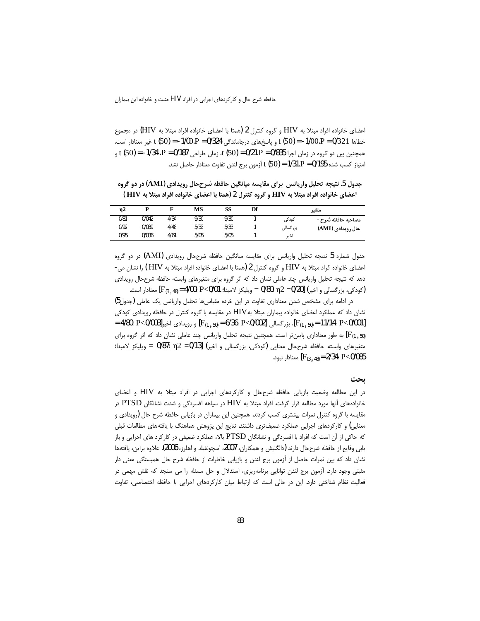اعضای خانواده افراد مبتلا به HIV و گروه کنترل 2 (همتا با اعضای خانواده افراد مبتلا به HIV) در مجموع خطاها 0/321 = 0/321 = t (50) = -1/00،P = 0/324 درجاماندگی 0/324 = 1/00.P = غیر معنادار است. همچنین بین دو گروه در زمان اجرا 335/0 = 0/21،P = 0/835 ، زمان طراحی P = 0/187،P = 1/34 .P = 0/187 و امتياز كسب شده 9/195 = 1/31،P = (50) أزمون برج لندن تفاوت معنادار حاصل نشد.

جدول 5. نتيجه تحليل واريانس براي مقايسه ميانگين حافظه شرححال رويدادي (AMI) در دو گروه اعضای خانواده افراد مبتلا به HIV و گروه کنترل 2 (همتا با اعضای خانواده افراد مبتلا به HIV )

| $\eta$ 2 |       |      | MS   | SS   | Df |           | متغير             |
|----------|-------|------|------|------|----|-----------|-------------------|
| 0/81     | 0/042 | 4/34 | 9/30 | 9/30 |    | کودکی     | مصاحبه حافظه شرح- |
| 0/92     | 0/039 | 4/48 | 5/33 | 5/33 |    | بزر گسالی | حال رویدادی (AMI) |
| 0/95     | 0/036 | 4/61 | 5/05 | 5/05 |    | اخير      |                   |

جدول شماره 5 نتيجه تحليل واريانس براى مقايسه ميانگين حافظه شرححال رويدادى (AMI) در دو گروه اعضای خانواده افراد مبتلا به HIV و گروه کنترل 2 (همتا با اعضای خانواده افراد مبتلا به HIV ) را نشان می-دهد که نتیجه تحلیل واریانس چند عاملی نشان داد که اثر گروه برای متغیرهای وابسته حافظه شرححال رویدادی (كودكي، بزرگسالي و اخير) [20/20 = 0/80 = 0/80 = ويليكز لامبدا؛ 4/00؛ P<0/01 = [F<sub>(3 ، 48</sub> = 4/00] معنادار است.

در ادامه برای مشخص شدن معناداری تفاوت در این خرده مقیاس ها تحلیل واریانس یک عاملی (جدول5) نشان داد که عملکرد اعضای خانواده بیماران مبتلا بهHIV در مقایسه با گروه کنترل در حافظه رویدادی کودکی [F(1,50)= 11/14، P<0/001]، بزرگسالی [F(1,50)= 6/36، P<0/002] بزرگسالی [F(1,50)= 11/14، P<0/001] [F(1 , 50) به طور معناداری پایین تر است. همچنین نتیجه تحلیل واریانس چند عاملی نشان داد که اثر گروه برای متغيرهاي وابسته حافظه شرححال معنايي (كودكي، بزرگسالي و اخير) [3//0= 0/12 = 0/87 ويليكز لامبدا؛ معنادار نبود. [F<sub>(3 ، 48</sub>) = 2/34: P<0/085

### بحث

در این مطالعه وضعیت بازیابی حافظه شرححال و کارکردهای اجرایی در افراد مبتلا به HIV و اعضای خانوادههای أنها مورد مطالعه قرار گرفت. افراد مبتلا به HIV در سیاهه افسردگی و شدت نشانگان PTSD در مقایسه با گروه کنترل نمرات بیشتری کسب کردند. همچنین این بیماران در بازیابی حافظه شرح حال (رویدادی و معنایی) و کارکردهای اجرایی عملکرد ضعیفتری داشتند. نتایج این پژوهش هماهنگ با یافتههای مطالعات قبلی که حاکی از آن است که افراد با افسردگی و نشانگان PTSD بالا، عملکرد ضعیفی در کارکرد های اجرایی و باز يابي وقايع از حافظه شرححال دارند (دالگليش و همكاران، 2007، اسچونفيلد و اهلرز، 2006). علاوه براين، يافتهها نشان داد که بین نمرات حاصل از آزمون برج لندن و بازیابی خاطرات از حافظه شرح حال همبستگی معنی دار مثبتی وجود دارد. آزمون برج لندن توانایی برنامهریزی، استدلال و حل مسئله را می سنجد که نقش مهمی در فعالیت نظام شناختی دارد. این در حالی است که ارتباط میان کارکردهای اجرایی با حافظه اختصاصی، تفاوت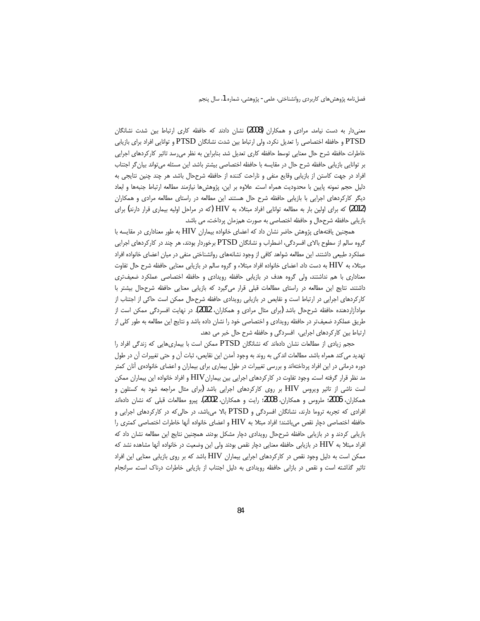معنیدار به دست نیامد. مرادی و همکاران (2008) نشان دادند که حافظه کاری ارتباط بین شدت نشانگان PTSD و حافظه اختصاصی را تعدیل نکرد، ولی ارتباط بین شدت نشانگان PTSD و توانایی افراد برای بازیابی خاطرات حافظه شرح حال معنایی توسط حافظه کاری تعدیل شد. بنابراین به نظر میرسد تاثیر کارکردهای اجرایی بر توانایی بازیابی حافظه شرح حال در مقایسه با حافظه اختصاصی بیشتر باشد. این مسئله میتواند بیان گر اجتناب افراد در جهت کاستن از بازیابی وقایع منفی و ناراحت کننده از حافظه شرححال باشد. هر چند چنین نتایجی به دلیل حجم نمونه پایین با محدودیت همراه است. علاوه بر این، پژوهشها نیازمند مطالعه ارتباط جنبهها و ابعاد دیگر کارکردهای اجرایی با بازیابی حافظه شرح حال هستند. این مطالعه در راستای مطالعه مرادی و همکاران (2012) که برای اولین بار به مطالعه توانایی افراد مبتلاء به HIV (که در مراحل اولیه بیماری قرار دارند) برای بازيابي حافظه شرححال و حافظه اختصاصي به صورت همزمان پرداخت، مي باشد.

همچنین یافتههای پژوهش حاضر نشان داد که اعضای خانواده بیماران HIV به طور معناداری در مقایسه با گروه سالم از سطوح بالای افسردگی، اضطراب و نشانگان PTSD برخوردار بودند، هر چند در کارکردهای اجرایی عملکرد طبیعی داشتند. این مطالعه شواهد کافی از وجود نشانههای روانشناختی منفی در میان اعضای خانواده افراد مبتلاء به HIV به دست داد. اعضای خانواده افراد مبتلاء و گروه سالم در بازیابی معنایی حافظه شرح حال تفاوت معناداری با هم نداشتند، ولی گروه هدف در بازیابی حافظه رویدادی و حافظه اختصاصی عملکرد ضعیف تری داشتند. نتايج اين مطالعه در راستاى مطالعات قبلى قرار مى گيرد كه بازيابى معنايى حافظه شرححال بيشتر با کارکردهای اجرایی در ارتباط است و نقایص در بازیابی رویدادی حافظه شرححال ممکن است حاکی از اجتناب از مواداًزاردهنده حافظه شرححال باشد (برای مثال مرادی و همکاران، 2012). در نهایت افسردگی ممکن است از طریق عملکرد ضعیفتر در حافظه رویدادی و اختصاصی خود را نشان داده باشد و نتایج این مطالعه به طور کلی از ارتباط بین کارکردهای اجرایی، افسردگی و حافظه شرح حال خبر می دهد.

حجم زیادی از مطالعات نشان دادهاند که نشانگان PTSD ممکن است با بیماریهایی که زندگی افراد را تهديد مي كند همراه باشد. مطالعات اندكي به روند به وجود أمدن اين نقايص، ثبات أن و حتى تغييرات أن در طول دوره درمانی در این افراد پرداختهاند و بررسی تغییرات در طول بیماری برای بیماران و اعضای خانوادهی آنان کمتر مد نظر قرار گرفته است. وجود تفاوت در کارکردهای اجرایی بین بیماران ${\rm HIV}$  و افراد خانواده این بیماران ممکن است ناشی از تاثیر ویروس HIV بر روی کارکردهای اجرایی باشد (برای مثال مراجعه شود به کستلون و همکاران، 2006؛ ملروس و همکاران، 2008؛ رایت و همکاران، 2002). پیرو مطالعات قبلی که نشان دادهاند افرادی که تجربه تروما دارند، نشانگان افسردگی و PTSD بالا میباشد، در حالی که در کارکردهای اجرایی و حافظه اختصاصی دچار نقص میباشند؛ افراد مبتلا به HIV و اعضای خانواده آنها خاطرات اختصاصی کمتری را بازیابی کردند و در بازیابی حافظه شرححال رویدادی دچار مشکل بودند. همچنین نتایج این مطالعه نشان داد که افراد مبتلا به HIV در بازیابی حافظه معنایی دچار نقص بودند ولی این وضعیت در خانواده آنها مشاهده نشد که ممکن است به دلیل وجود نقص در کارکردهای اجرایی بیماران HIV باشد که بر روی بازیابی معنایی این افراد تاثیر گذاشته است و نقص در بازابی حافظه رویدادی به دلیل اجتناب از بازیابی خاطرات درناک است. سرانجام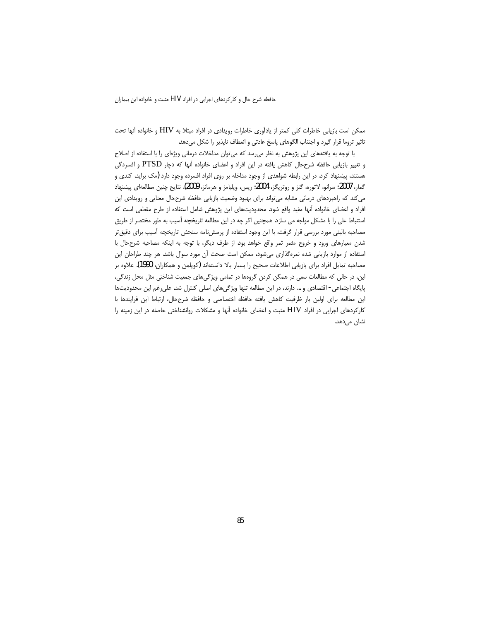حافظه شرح حال و كاركردهاي اجرايي در افراد HIV مثبت و خانواده اين بيماران

ممكن است بازيابي خاطرات كلي كمتر از يادآوري خاطرات رويدادي در افراد مبتلا به HIV و خانواده آنها تحت تاثير تروما قرار گيرد و اجتناب الگوهاي پاسخ عادتي و انعطاف ناپذير را شكل ميدهد.

با توجه به یافتههای این پژوهش به نظر میرسد که می توان مداخلات درمانی ویژهای را با استفاده از اصلاح و تغییر بازیابی حافظه شرححال کاهش یافته در این افراد و اعضای خانواده آنها که دچار PTSD و افسردگی هستند، پیشنهاد کرد. در این رابطه شواهدی از وجود مداخله بر روی افراد افسرده وجود دارد (مک براید، کندی و گمار، 2007؛ سرانو، لاتوره، گتز و روتريگز، 2004؛ ريس، ويليامز و هرمانز، 2009). نتايج چنين مطالعهاي پيشنهاد می کند که راهبردهای درمانی مشابه میتواند برای بهبود وضعیت بازیابی حافظه شرححال معنایی و رویدادی این افراد و اعضای خانواده آنها مفید واقع شود. محدودیتهای این پژوهش شامل استفاده از طرح مقطعی است که استنباط علی را با مشکل مواجه می سازد. همچنین اگر چه در این مطالعه تاریخچه آسیب به طور مختصر از طریق مصاحبه بالینی مورد بررسی قرار گرفت، با این وجود استفاده از پرسشنامه سنجش تاریخچه آسیب برای دقیقتر شدن معیارهای ورود و خروج مثمر ثمر واقع خواهد بود. از طرف دیگر، با توجه به اینکه مصاحبه شرححال با استفاده از موارد بازیابی شده نمرهگذاری میشود، ممکن است صحت آن مورد سوال باشد. هر چند طراحان این مصاحبه تمایل افراد برای بازیابی اطلاعات صحیح را بسیار بالا دانستهاند (کوپلمن و همکاران، 1990). علاوه بر این، در حالی که مطالعات سعی در همگن کردن گروهها در تمامی ویژگیهای جمعیت شناختی مثل محل زندگی، پایگاه اجتماعی - اقتصادی و … دارند، در این مطالعه تنها ویژگیهای اصلی کنترل شد. علیرغم این محدودیتها این مطالعه برای اولین بار ظرفیت کاهش یافته حافظه اختصاصی و حافظه شرححال، ارتباط این فرایندها با کارکردهای اجرایی در افراد HIV مثبت و اعضای خانواده آنها و مشکلات روانشناختی حاصله در این زمینه را نشان میدهد.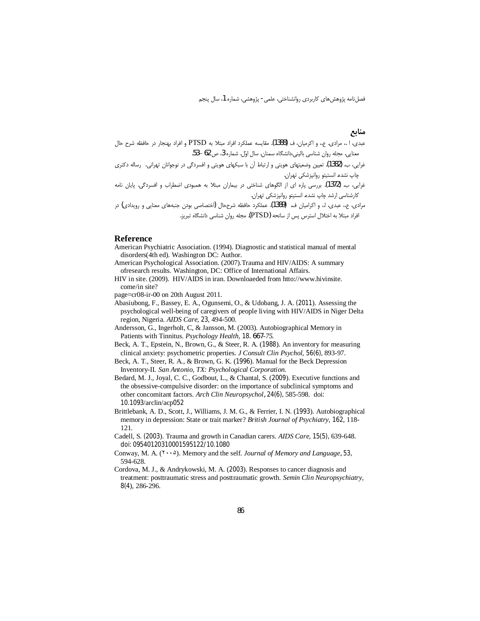### منابع

- عبدي، ا ،، مرادي. ع،، و اكرميان، ف (1388). مقايسه عملكرد افراد مبتلا به PTSD و افراد بهنجار در حافظه شرح حال معنایی. مجله روان شناسی بالینی،دانشگاه سمنان. سال اوّل. شماره 3، ص 62 –53.
- غرایی، ب. (1382). تعیین وضعیتهای هویتی و ارتباط آن با سبکهای هویتی و افسردگی در نوجوانان تهرانی. رساله دکتری چاپ نشده. انستيتو روانپزشكي تهران.
- غرایی، ب. (1372). بررسی پاره ای از الگوهای شناختی در بیماران مبتلا به همبودی اضطراب و افسردگی. پایان نامه کارشناسی ارشد چاپ نشده. انستیتو روانپزشکی تهران.
- مرادی، ع، عبدی، ا، و اکرامیان ف. (1389). عملکرد حافظه شرححال (اختصاصی بودن جنبههای معنایی و رویدادی) در افراد مبتلا به اختلال استرس پس از سانحه (PTSD). مجله روان شناسی دانشگاه تبریز.

### **Reference**

- American Psychiatric Association. (1994). Diagnostic and statistical manual of mental disorders(4th ed). Washington DC: Author.
- American Psychological Association. (2007). Trauma and HIV/AIDS: A summary ofresearch results. Washington, DC: Office of International Affairs.
- HIV in site. (2009). HIV/AIDS in iran. Downloaeded from htto://www.hivinsite. come/in site?
- page=cr08-ir-00 on 20th August 2011.
- Abasiubong, F., Bassey, E. A., Ogunsemi, O., & Udobang, J. A. (2011). Assessing the psychological well-being of caregivers of people living with HIV/AIDS in Niger Delta region, Nigeria. AIDS Care, 23, 494-500.
- Andersson, G., Ingerholt, C, & Jansson, M. (2003). Autobiographical Memory in Patients with Tinnitus. Psychology Health, 18. 667-75.
- Beck, A. T., Epstein, N., Brown, G., & Steer, R. A. (1988). An inventory for measuring clinical anxiety: psychometric properties. J Consult Clin Psychol, 56(6), 893-97.
- Beck, A. T., Steer, R. A., & Brown, G. K. (1996). Manual for the Beck Depression Inventory-II. San Antonio, TX: Psychological Corporation.
- Bedard, M. J., Joyal, C. C., Godbout, L., & Chantal, S. (2009). Executive functions and the obsessive-compulsive disorder: on the importance of subclinical symptoms and other concomitant factors. Arch Clin Neuropsychol, 24(6), 585-598. doi: 10.1093/arclin/acp052
- Brittlebank, A. D., Scott, J., Williams, J. M. G., & Ferrier, I. N. (1993). Autobiographical memory in depression: State or trait marker? British Journal of Psychiatry, 162, 118-121.
- Cadell, S. (2003). Trauma and growth in Canadian carers. AIDS Care, 15(5), 639-648. doi: 09540120310001595122/10.1080
- Conway, M. A. (٢٠٠٥). Memory and the self. Journal of Memory and Language, 53, 594-628.
- Cordova, M. J., & Andrykowski, M. A. (2003). Responses to cancer diagnosis and treatment: posttraumatic stress and posttraumatic growth. Semin Clin Neuropsychiatry, 8(4), 286-296.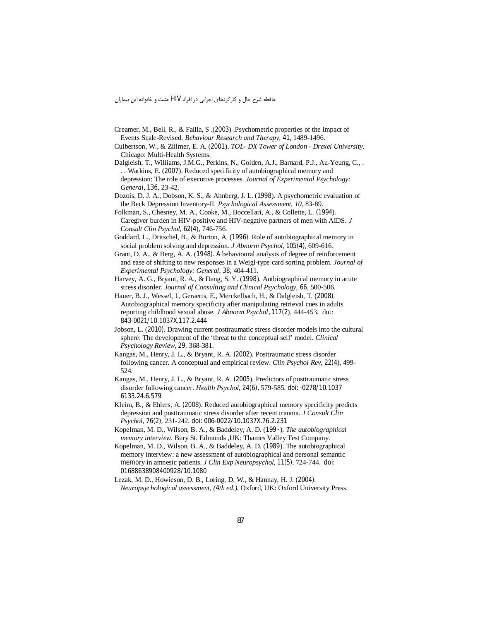حافظه شرح حال و کارکردهای اجرایی در افراد HIV مثبت و خانواده این بیماران

- Creamer, M., Bell, R., & Failla, S. (2003) .Psychometric properties of the Impact of Events Scale-Revised. Behaviour Research and Therapy, 41, 1489-1496.
- Culbertson, W., & Zillmer, E. A. (2001). TOL- DX Tower of London Drexel University. Chicago: Multi-Health Systems.
- Dalgleish, T., Williams, J.M.G., Perkins, N., Golden, A.J., Barnard, P.J., Au-Yeung, C., . .. Watkins, E. (2007). Reduced specificity of autobiographical memory and depression: The role of executive processes. Journal of Experimental Psychology: General, 136, 23-42.
- Dozois, D. J. A., Dobson, K. S., & Ahnberg, J. L. (1998). A psychometric evaluation of the Beck Depression Inventory-II. Psychological Assessment, 10, 83-89.
- Folkman, S., Chesney, M. A., Cooke, M., Boccellari, A., & Collette, L. (1994). Caregiver burden in HIV-positive and HIV-negative partners of men with AIDS. J Consult Clin Psychol, 62(4), 746-756.
- Goddard, L., Dritschel, B., & Burton, A. (1996). Role of autobiographical memory in social problem solving and depression. J Abnorm Psychol, 105(4), 609-616.
- Grant, D. A., & Berg, A. A. (1948). A behavioural analysis of degree of reinforcement and ease of shifting to new responses in a Weigl-type card sorting problem. Journal of Experimental Psychology: General, 38, 404-411.
- Harvey, A. G., Bryant, R. A., & Dang, S. Y. (1998). Autbiographical memory in acute stress disorder. Journal of Consulting and Clinical Psychology, 66, 500-506.
- Hauer, B. J., Wessel, I., Geraerts, E., Merckelbach, H., & Dalgleish, T. (2008). Autobiographical memory specificity after manipulating retrieval cues in adults reporting childhood sexual abuse. *J Abnorm Psychol*, 117(2), 444-453. doi: 843-0021/10.1037X.117.2.444
- Jobson, L. (2010). Drawing current posttraumatic stress disorder models into the cultural sphere: The development of the 'threat to the conceptual self' model. Clinical Psychology Review, 29, 368-381.
- Kangas, M., Henry, J. L., & Bryant, R. A. (2002). Posttraumatic stress disorder following cancer. A conceptual and empirical review. Clin Psychol Rev, 22(4), 499-524.
- Kangas, M., Henry, J. L., & Bryant, R. A. (2005). Predictors of posttraumatic stress disorder following cancer. Health Psychol, 24(6), 579-585. doi: -0278/10.1037 6133.24.6.579
- Kleim, B., & Ehlers, A. (2008). Reduced autobiographical memory specificity predicts depression and posttraumatic stress disorder after recent trauma. J Consult Clin Psychol, 76(2), 231-242. doi: 006-0022/10.1037X.76.2.231
- Kopelman, M. D., Wilson, B. A., & Baddeley, A. D. (199 ·). The autobiographical memory interview. Bury St. Edmunds , UK: Thames Valley Test Company.
- Kopelman, M. D., Wilson, B. A., & Baddeley, A. D. (1989). The autobiographical memory interview: a new assessment of autobiographical and personal semantic memory in amnesic patients. J Clin Exp Neuropsychol, 11(5), 724-744. doi: 01688638908400928/10.1080
- Lezak, M. D., Howieson, D. B., Loring, D. W., & Hannay, H. J. (2004). Neuropsychological assessment, (4th ed.). Oxford, UK: Oxford University Press.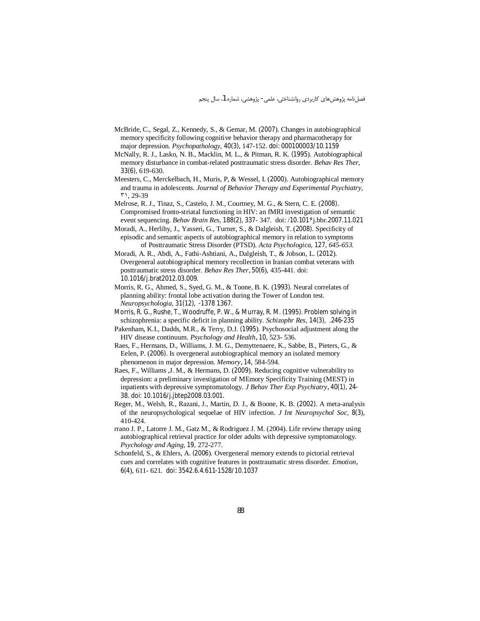- McBride, C., Segal, Z., Kennedy, S., & Gemar, M. (2007). Changes in autobiographical memory specificity following cognitive behavior therapy and pharmacotherapy for major depression. Psychopathology, 40(3), 147-152. doi: 000100003/10.1159
- McNally, R. J., Lasko, N. B., Macklin, M. L., & Pitman, R. K. (1995). Autobiographical memory disturbance in combat-related posttraumatic stress disorder. Behav Res Ther, 33(6), 619-630.
- Meesters, C., Merckelbach, H., Muris, P. & Wessel, I. (2000). Autobiographical memory and trauma in adolescents. Journal of Behavior Therapy and Experimental Psychiatry, 71, 29-39
- Melrose, R. J., Tinaz, S., Castelo, J. M., Courtney, M. G., & Stern, C. E. (2008). Compromised fronto-striatal functioning in HIV: an fMRI investigation of semantic event sequencing. Behav Brain Res, 188(2), 337-347. doi: /10.101 \*j.bbr.2007.11.021
- Moradi, A., Herlihy, J., Yasseri, G., Turner, S., & Dalgleish, T. (2008). Specificity of episodic and semantic aspects of autobiographical memory in relation to symptoms of Posttraumatic Stress Disorder (PTSD). Acta Psychologica, 127, 645-653.
- Moradi, A. R., Abdi, A., Fathi-Ashtiani, A., Dalgleish, T., & Jobson, L. (2012). Overgeneral autobiographical memory recollection in Iranian combat veterans with posttraumatic stress disorder. Behav Res Ther, 50(6), 435-441. doi: 10.1016/j.brat2012.03.009.
- Morris, R. G., Ahmed, S., Syed, G. M., & Toone, B. K. (1993). Neural correlates of planning ability: frontal lobe activation during the Tower of London test. *Neuropsychologia*, 31(12), -1378 1367.
- Morris, R. G., Rushe, T., Woodruffe, P. W., & Murray, R. M. (1995). Problem solving in schizophrenia: a specific deficit in planning ability. *Schizophr Res*, 14(3), .246-235
- Pakenham, K.I., Dadds, M.R., & Terry, D.J. (1995). Psychosocial adjustment along the HIV disease continuum. Psychology and Health, 10, 523-536.
- Raes, F., Hermans, D., Williams, J. M. G., Demyttenaere, K., Sabbe, B., Pieters, G., & Eelen, P. (2006). Is overgeneral autobiographical memory an isolated memory phenomenon in major depression. Memory, 14, 584-594.
- Raes, F., Williams J. M., & Hermans, D. (2009). Reducing cognitive vulnerability to depression: a preliminary investigation of MEmory Specificity Training (MEST) in inpatients with depressive symptomatology. J Behav Ther Exp Psychiatry, 40(1), 24-38. doi: 10.1016/j.jbtep2008.03.001.
- Reger, M., Welsh, R., Razani, J., Martin, D. J., & Boone, K. B. (2002). A meta-analysis of the neuropsychological sequelae of HIV infection. J Int Neuropsychol Soc, 8(3), 410-424
- rrano J. P., Latorre J. M., Gatz M., & Rodriguez J. M. (2004). Life review therapy using autobiographical retrieval practice for older adults with depressive symptomatology. Psychology and Aging, 19, 272-277.
- Schonfeld, S., & Ehlers, A. (2006). Overgeneral memory extends to pictorial retrieval cues and correlates with cognitive features in posttraumatic stress disorder. Emotion, 6(4), 611-621. doi: 3542.6.4.611-1528/10.1037